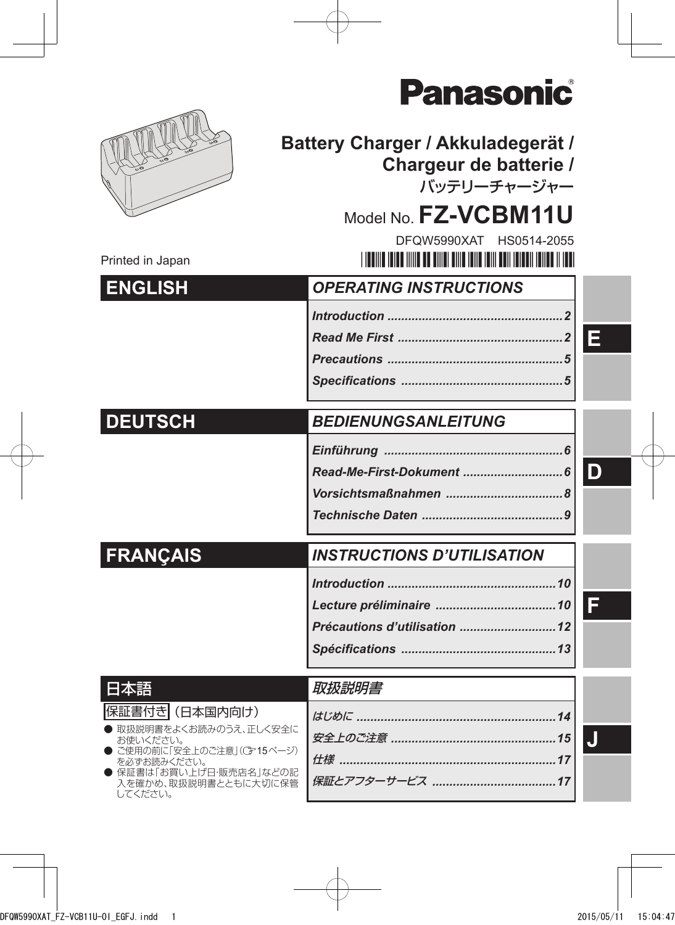|                                                          | ZINZSONIC                                                                  |   |
|----------------------------------------------------------|----------------------------------------------------------------------------|---|
|                                                          | Battery Charger / Akkuladegerät /<br>Chargeur de batterie /<br>バッテリーチャージャー |   |
|                                                          | Model No. FZ-VCBM11U                                                       |   |
| Printed in Japan                                         | DFOW5990XAT HS0514-2055                                                    |   |
| <b>ENGLISH</b>                                           | <b>OPERATING INSTRUCTIONS</b>                                              |   |
|                                                          |                                                                            |   |
|                                                          |                                                                            | E |
|                                                          |                                                                            |   |
|                                                          |                                                                            |   |
| <b>DEUTSCH</b>                                           | <b>BEDIENUNGSANLEITUNG</b>                                                 |   |
|                                                          |                                                                            |   |
|                                                          |                                                                            | D |
|                                                          |                                                                            |   |
|                                                          |                                                                            |   |
| <b>FRANÇAIS</b>                                          | <b>INSTRUCTIONS D'UTILISATION</b>                                          |   |
|                                                          |                                                                            |   |
|                                                          |                                                                            |   |
|                                                          |                                                                            |   |
|                                                          |                                                                            |   |
| 日本語                                                      | 取扱説明書                                                                      |   |
| 保証書付き (日本国内向け)                                           |                                                                            |   |
| 取扱説明書をよくお読みのうえ、正しく安全に<br>お使いください。                        |                                                                            |   |
| ご使用の前に「安全上のご注意」(ご15ページ)<br>を必ずお読みください。                   |                                                                            |   |
| 保証書は「お買い上げ日·販売店名」などの記<br>入を確かめ、取扱説明書とともに大切に保管<br>してください。 |                                                                            |   |
|                                                          |                                                                            |   |

 $\overline{\phantom{a}}^{\circ}$ 

Donac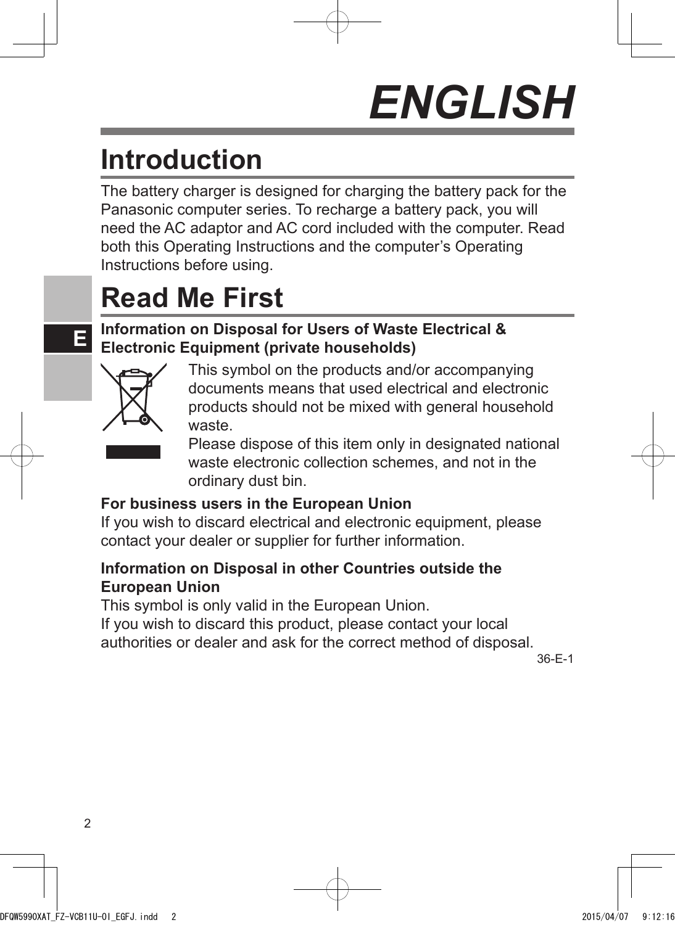# *ENGLISH*

## **Introduction**

The battery charger is designed for charging the battery pack for the Panasonic computer series. To recharge a battery pack, you will need the AC adaptor and AC cord included with the computer. Read both this Operating Instructions and the computer's Operating Instructions before using.

## **Read Me First**

#### **Information on Disposal for Users of Waste Electrical & Electronic Equipment (private households)**



**E**

This symbol on the products and/or accompanying documents means that used electrical and electronic products should not be mixed with general household waste.



Please dispose of this item only in designated national waste electronic collection schemes, and not in the ordinary dust bin.

#### **For business users in the European Union**

If you wish to discard electrical and electronic equipment, please contact your dealer or supplier for further information.

#### **Information on Disposal in other Countries outside the European Union**

This symbol is only valid in the European Union.

If you wish to discard this product, please contact your local authorities or dealer and ask for the correct method of disposal.

36-E-1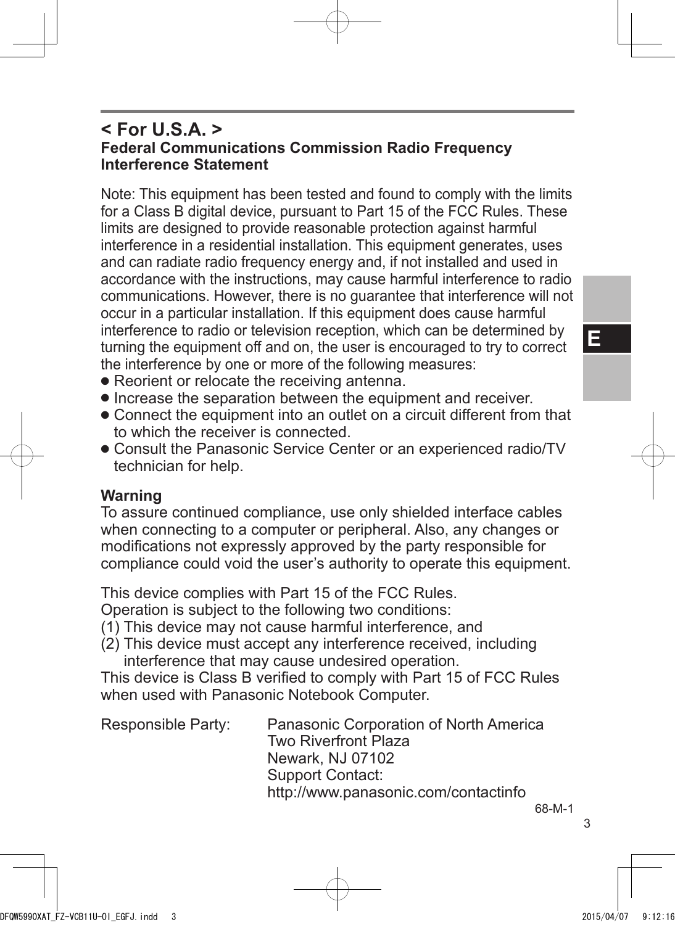**E**

#### **< For U.S.A. > Federal Communications Commission Radio Frequency Interference Statement**

Note: This equipment has been tested and found to comply with the limits for a Class B digital device, pursuant to Part 15 of the FCC Rules. These limits are designed to provide reasonable protection against harmful interference in a residential installation. This equipment generates, uses and can radiate radio frequency energy and, if not installed and used in accordance with the instructions, may cause harmful interference to radio communications. However, there is no guarantee that interference will not occur in a particular installation. If this equipment does cause harmful interference to radio or television reception, which can be determined by turning the equipment off and on, the user is encouraged to try to correct the interference by one or more of the following measures:

- Reorient or relocate the receiving antenna.
- Increase the separation between the equipment and receiver.
- Connect the equipment into an outlet on a circuit different from that to which the receiver is connected.
- Consult the Panasonic Service Center or an experienced radio/TV technician for help.

#### **Warning**

To assure continued compliance, use only shielded interface cables when connecting to a computer or peripheral. Also, any changes or modifications not expressly approved by the party responsible for compliance could void the user's authority to operate this equipment.

This device complies with Part 15 of the FCC Rules.

Operation is subject to the following two conditions:

- (1) This device may not cause harmful interference, and
- (2) This device must accept any interference received, including

interference that may cause undesired operation. This device is Class B verified to comply with Part 15 of FCC Rules when used with Panasonic Notebook Computer.

| Responsible Party: | Panasonic Corporation of North America<br><b>Two Riverfront Plaza</b> |               |
|--------------------|-----------------------------------------------------------------------|---------------|
|                    | Newark, NJ 07102                                                      |               |
|                    | Support Contact:                                                      |               |
|                    | http://www.panasonic.com/contactinfo                                  |               |
|                    |                                                                       | $\sim$ $\sim$ |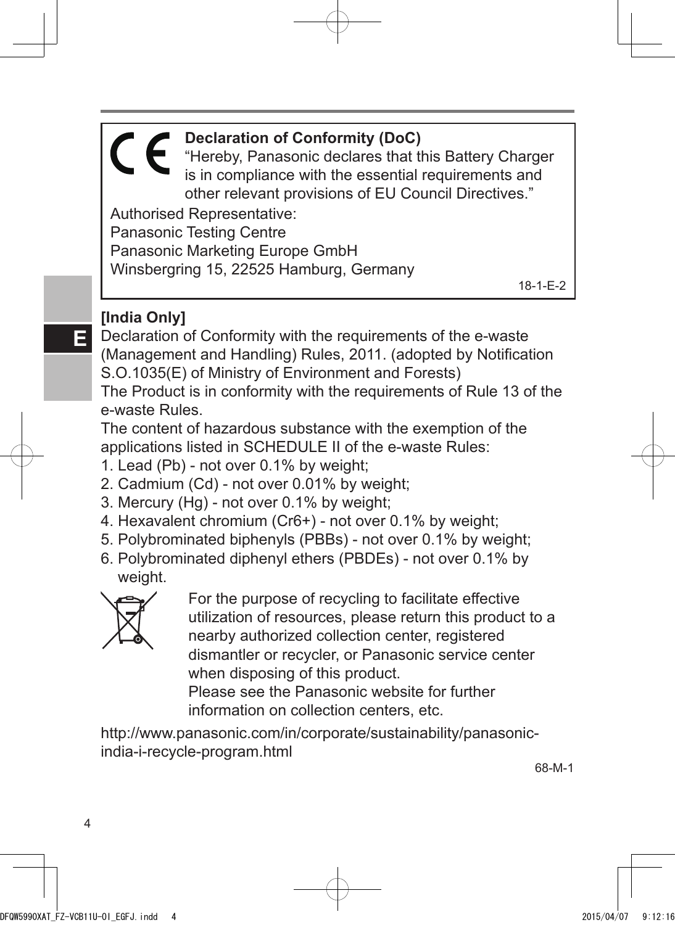**Declaration of Conformity (DoC)** "Hereby, Panasonic declares that this Battery Charger is in compliance with the essential requirements and other relevant provisions of EU Council Directives." Authorised Representative: Panasonic Testing Centre Panasonic Marketing Europe GmbH Winsbergring 15, 22525 Hamburg, Germany 18-1-E-2

#### **[India Only]**

Declaration of Conformity with the requirements of the e-waste (Management and Handling) Rules, 2011. (adopted by Notification S.O.1035(E) of Ministry of Environment and Forests)

The Product is in conformity with the requirements of Rule 13 of the e-waste Rules.

The content of hazardous substance with the exemption of the applications listed in SCHEDULE II of the e-waste Rules:

- 1. Lead (Pb) not over 0.1% by weight;
- 2. Cadmium (Cd) not over 0.01% by weight;
- 3. Mercury (Hg) not over 0.1% by weight;
- 4. Hexavalent chromium (Cr6+) not over 0.1% by weight;
- 5. Polybrominated biphenyls (PBBs) not over 0.1% by weight;
- 6. Polybrominated diphenyl ethers (PBDEs) not over 0.1% by weight.



For the purpose of recycling to facilitate effective utilization of resources, please return this product to a nearby authorized collection center, registered dismantler or recycler, or Panasonic service center when disposing of this product.

Please see the Panasonic website for further information on collection centers, etc.

http://www.panasonic.com/in/corporate/sustainability/panasonicindia-i-recycle-program.html

68-M-1

**E**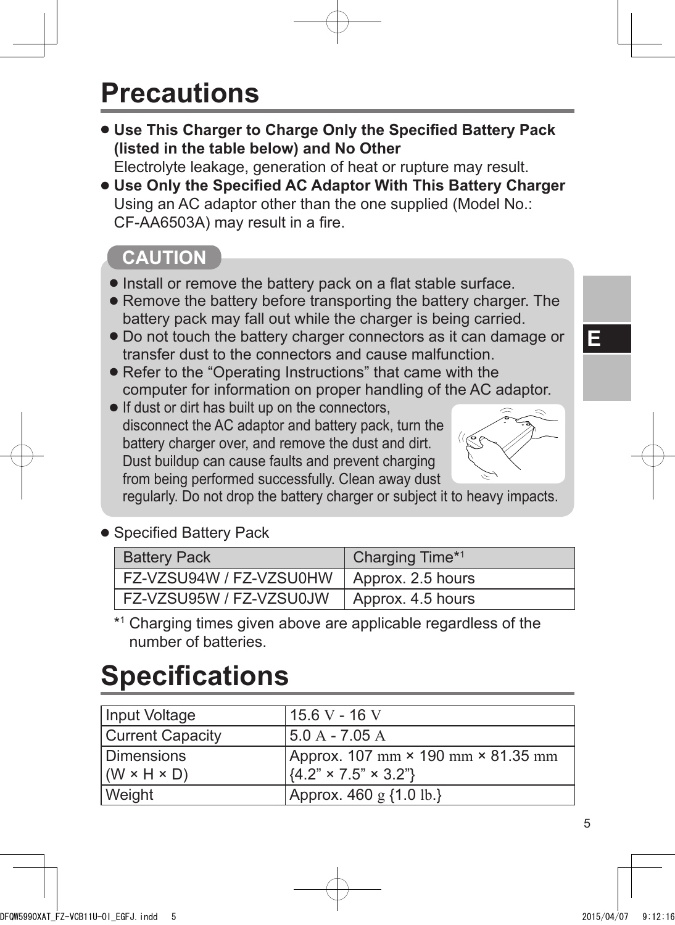## **Precautions**

● **Use This Charger to Charge Only the Specified Battery Pack (listed in the table below) and No Other**

Electrolyte leakage, generation of heat or rupture may result.

● **Use Only the Specified AC Adaptor With This Battery Charger** Using an AC adaptor other than the one supplied (Model No.: CF-AA6503A) may result in a fire.

### **CAUTION**

- Install or remove the battery pack on a flat stable surface.
- Remove the battery before transporting the battery charger. The battery pack may fall out while the charger is being carried.
- Do not touch the battery charger connectors as it can damage or transfer dust to the connectors and cause malfunction.
- Refer to the "Operating Instructions" that came with the computer for information on proper handling of the AC adaptor.
- If dust or dirt has built up on the connectors, disconnect the AC adaptor and battery pack, turn the battery charger over, and remove the dust and dirt. Dust buildup can cause faults and prevent charging from being performed successfully. Clean away dust



regularly. Do not drop the battery charger or subject it to heavy impacts.

● Specified Battery Pack

| <b>Battery Pack</b>                         | Charging Time*1 |
|---------------------------------------------|-----------------|
| FZ-VZSU94W / FZ-VZSU0HW   Approx. 2.5 hours |                 |
| FZ-VZSU95W / FZ-VZSU0JW   Approx. 4.5 hours |                 |

\*1 Charging times given above are applicable regardless of the number of batteries.

## **Specifications**

| Input Voltage             | $15.6 V - 16 V$                                                        |
|---------------------------|------------------------------------------------------------------------|
| <b>Current Capacity</b>   | 5.0 A - 7.05 A                                                         |
| <b>Dimensions</b>         | Approx. 107 mm × 190 mm × 81.35 mm                                     |
| $ (W \times H \times D) $ | $\left[\left\{4.2\right\}^{n} \times 7.5\right]^{n} \times 3.2\right]$ |
| Weight                    | Approx. $460 \text{ g } \{1.0 \text{ lb.}\}\$                          |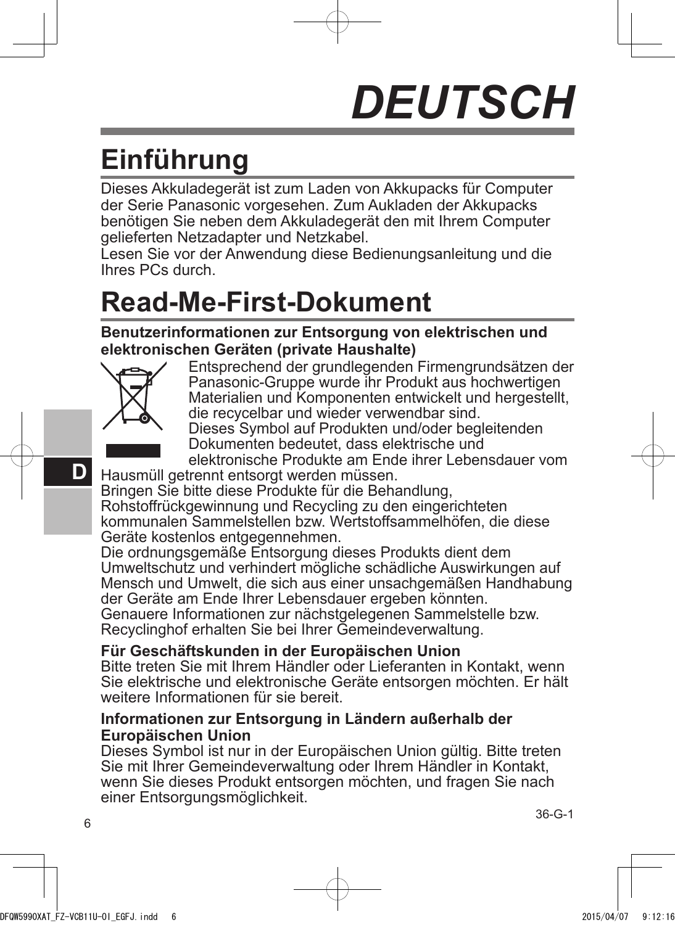# *DEUTSCH*

## **Einführung**

Dieses Akkuladegerät ist zum Laden von Akkupacks für Computer der Serie Panasonic vorgesehen. Zum Aukladen der Akkupacks benötigen Sie neben dem Akkuladegerät den mit Ihrem Computer gelieferten Netzadapter und Netzkabel.

Lesen Sie vor der Anwendung diese Bedienungsanleitung und die Ihres PCs durch.

## **Read-Me-First-Dokument**

**Benutzerinformationen zur Entsorgung von elektrischen und elektronischen Geräten (private Haushalte)**



Entsprechend der grundlegenden Firmengrundsätzen der Panasonic-Gruppe wurde ihr Produkt aus hochwertigen Materialien und Komponenten entwickelt und hergestellt, die recycelbar und wieder verwendbar sind.



Dieses Symbol auf Produkten und/oder begleitenden Dokumenten bedeutet, dass elektrische und

elektronische Produkte am Ende ihrer Lebensdauer vom Hausmüll getrennt entsorgt werden müssen.

Bringen Sie bitte diese Produkte für die Behandlung, Rohstoffrückgewinnung und Recycling zu den eingerichteten kommunalen Sammelstellen bzw. Wertstoffsammelhöfen, die diese Geräte kostenlos entgegennehmen.

Die ordnungsgemäße Entsorgung dieses Produkts dient dem Umweltschutz und verhindert mögliche schädliche Auswirkungen auf Mensch und Umwelt, die sich aus einer unsachgemäßen Handhabung der Geräte am Ende Ihrer Lebensdauer ergeben könnten.

Genauere Informationen zur nächstgelegenen Sammelstelle bzw. Recyclinghof erhalten Sie bei Ihrer Gemeindeverwaltung.

#### **Für Geschäftskunden in der Europäischen Union**

Bitte treten Sie mit Ihrem Händler oder Lieferanten in Kontakt, wenn Sie elektrische und elektronische Geräte entsorgen möchten. Er hält weitere Informationen für sie bereit.

#### **Informationen zur Entsorgung in Ländern außerhalb der Europäischen Union**

Dieses Symbol ist nur in der Europäischen Union gültig. Bitte treten Sie mit Ihrer Gemeindeverwaltung oder Ihrem Händler in Kontakt, wenn Sie dieses Produkt entsorgen möchten, und fragen Sie nach einer Entsorgungsmöglichkeit.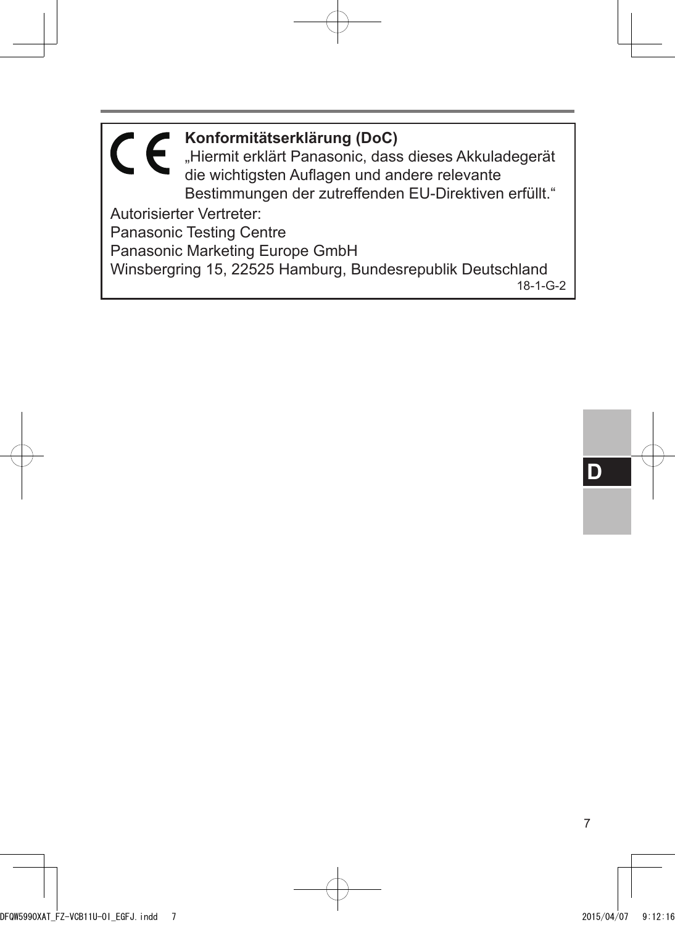**Konformitätserklärung (DoC)** "Hiermit erklärt Panasonic, dass dieses Akkuladegerät die wichtigsten Auflagen und andere relevante Bestimmungen der zutreffenden EU-Direktiven erfüllt." Autorisierter Vertreter: Panasonic Testing Centre Panasonic Marketing Europe GmbH Winsbergring 15, 22525 Hamburg, Bundesrepublik Deutschland

18-1-G-2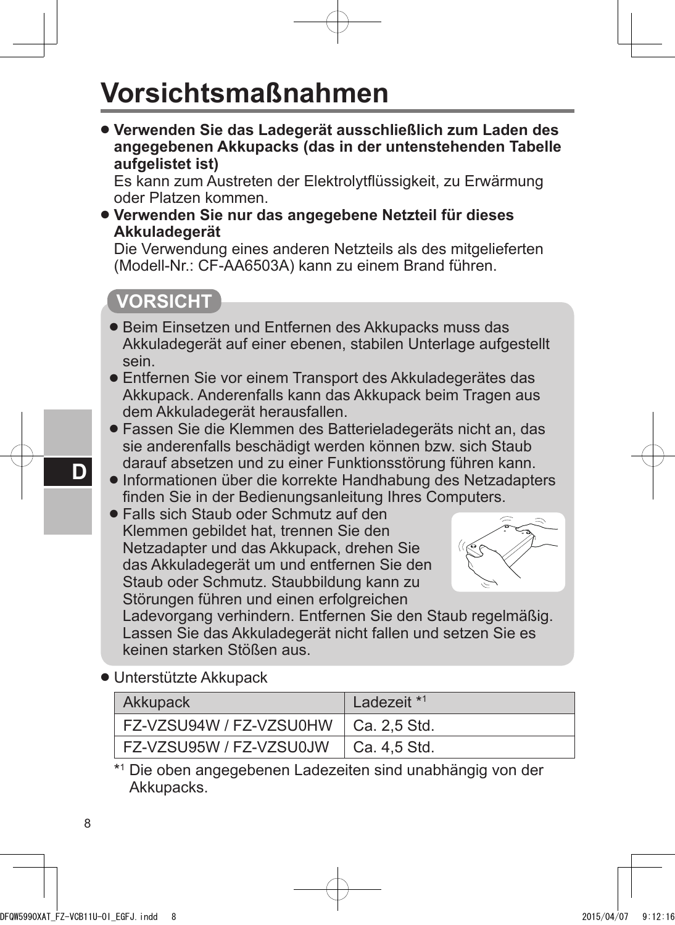## **Vorsichtsmaßnahmen**

● **Verwenden Sie das Ladegerät ausschließlich zum Laden des angegebenen Akkupacks (das in der untenstehenden Tabelle aufgelistet ist)**

Es kann zum Austreten der Elektrolytflüssigkeit, zu Erwärmung oder Platzen kommen.

● **Verwenden Sie nur das angegebene Netzteil für dieses Akkuladegerät**

Die Verwendung eines anderen Netzteils als des mitgelieferten (Modell-Nr.: CF-AA6503A) kann zu einem Brand führen.

#### **VORSICHT**

- Beim Einsetzen und Entfernen des Akkupacks muss das Akkuladegerät auf einer ebenen, stabilen Unterlage aufgestellt sein.
- Entfernen Sie vor einem Transport des Akkuladegerätes das Akkupack. Anderenfalls kann das Akkupack beim Tragen aus dem Akkuladegerät herausfallen.
- Fassen Sie die Klemmen des Batterieladegeräts nicht an, das sie anderenfalls beschädigt werden können bzw. sich Staub darauf absetzen und zu einer Funktionsstörung führen kann.
- Informationen über die korrekte Handhabung des Netzadapters finden Sie in der Bedienungsanleitung Ihres Computers.
- Falls sich Staub oder Schmutz auf den Klemmen gebildet hat, trennen Sie den Netzadapter und das Akkupack, drehen Sie das Akkuladegerät um und entfernen Sie den Staub oder Schmutz. Staubbildung kann zu Störungen führen und einen erfolgreichen



Ladevorgang verhindern. Entfernen Sie den Staub regelmäßig. Lassen Sie das Akkuladegerät nicht fallen und setzen Sie es keinen starken Stößen aus.

● Unterstützte Akkupack

| Akkupack                | Ladezeit <sup>*1</sup> |
|-------------------------|------------------------|
| FZ-VZSU94W / FZ-VZSU0HW | Ca. 2.5 Std.           |
| FZ-VZSU95W / FZ-VZSU0JW | Ca. 4,5 Std.           |

\*1 Die oben angegebenen Ladezeiten sind unabhängig von der Akkupacks.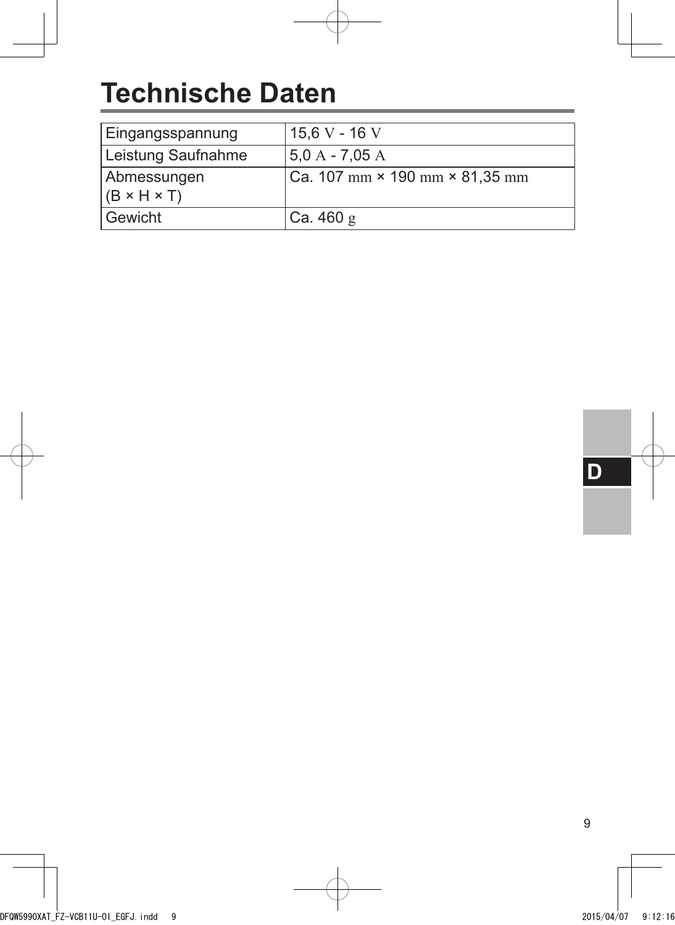## **Technische Daten**

| Eingangsspannung                       | 15,6 V - 16 V                                                       |
|----------------------------------------|---------------------------------------------------------------------|
| Leistung Saufnahme                     | $5.0 A - 7.05 A$                                                    |
| Abmessungen<br>$(B \times H \times T)$ | $ Ca. 107 \text{ mm} \times 190 \text{ mm} \times 81,35 \text{ mm}$ |
| Gewicht                                | Ca.460 g                                                            |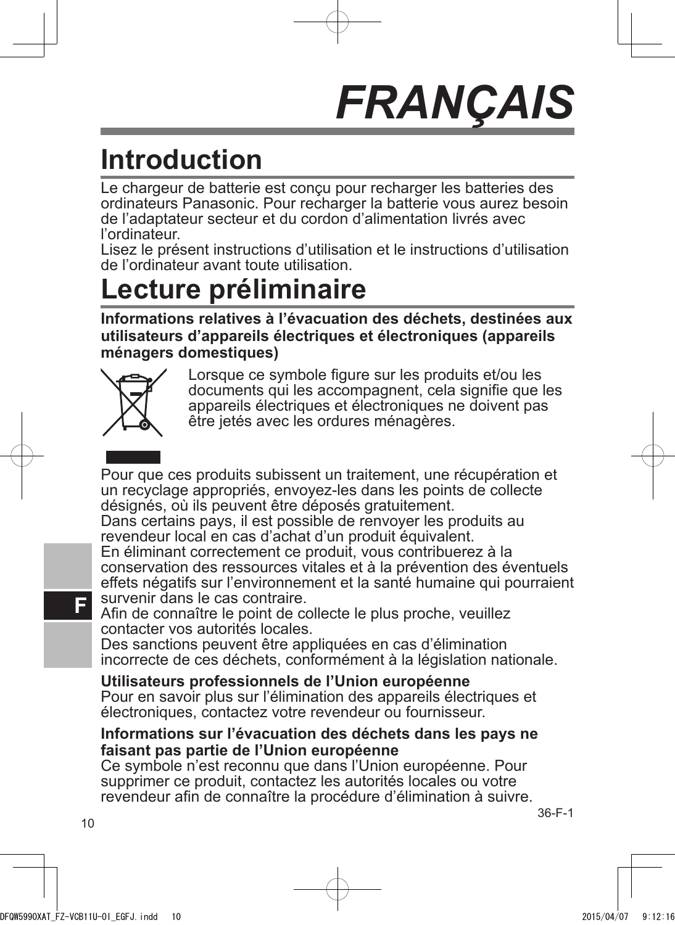## *FRANÇAIS*

## **Introduction**

Le chargeur de batterie est conçu pour recharger les batteries des ordinateurs Panasonic. Pour recharger la batterie vous aurez besoin de l'adaptateur secteur et du cordon d'alimentation livrés avec l'ordinateur.

Lisez le présent instructions d'utilisation et le instructions d'utilisation de l'ordinateur avant toute utilisation.

## **Lecture préliminaire**

**Informations relatives à l'évacuation des déchets, destinées aux utilisateurs d'appareils électriques et électroniques (appareils ménagers domestiques)**



Lorsque ce symbole figure sur les produits et/ou les documents qui les accompagnent, cela signifie que les appareils électriques et électroniques ne doivent pas être jetés avec les ordures ménagères.

Pour que ces produits subissent un traitement, une récupération et un recyclage appropriés, envoyez-les dans les points de collecte désignés, où ils peuvent être déposés gratuitement.

Dans certains pays, il est possible de renvoyer les produits au revendeur local en cas d'achat d'un produit équivalent.

En éliminant correctement ce produit, vous contribuerez à la conservation des ressources vitales et à la prévention des éventuels effets négatifs sur l'environnement et la santé humaine qui pourraient survenir dans le cas contraire.

Afin de connaître le point de collecte le plus proche, veuillez contacter vos autorités locales.

Des sanctions peuvent être appliquées en cas d'élimination incorrecte de ces déchets, conformément à la législation nationale.

**Utilisateurs professionnels de l'Union européenne** Pour en savoir plus sur l'élimination des appareils électriques et électroniques, contactez votre revendeur ou fournisseur.

#### **Informations sur l'évacuation des déchets dans les pays ne faisant pas partie de l'Union européenne**

Ce symbole n'est reconnu que dans l'Union européenne. Pour supprimer ce produit, contactez les autorités locales ou votre revendeur afin de connaître la procédure d'élimination à suivre.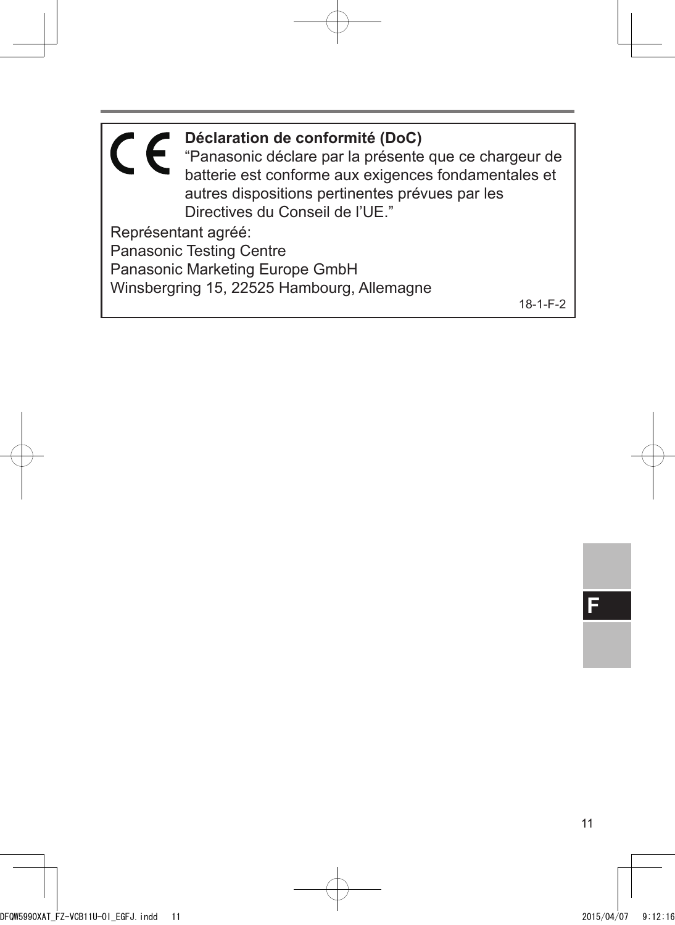**Déclaration de conformité (DoC)** "Panasonic déclare par la présente que ce chargeur de batterie est conforme aux exigences fondamentales et autres dispositions pertinentes prévues par les Directives du Conseil de l'UE." Représentant agréé: Panasonic Testing Centre Panasonic Marketing Europe GmbH Winsbergring 15, 22525 Hambourg, Allemagne 18-1-F-2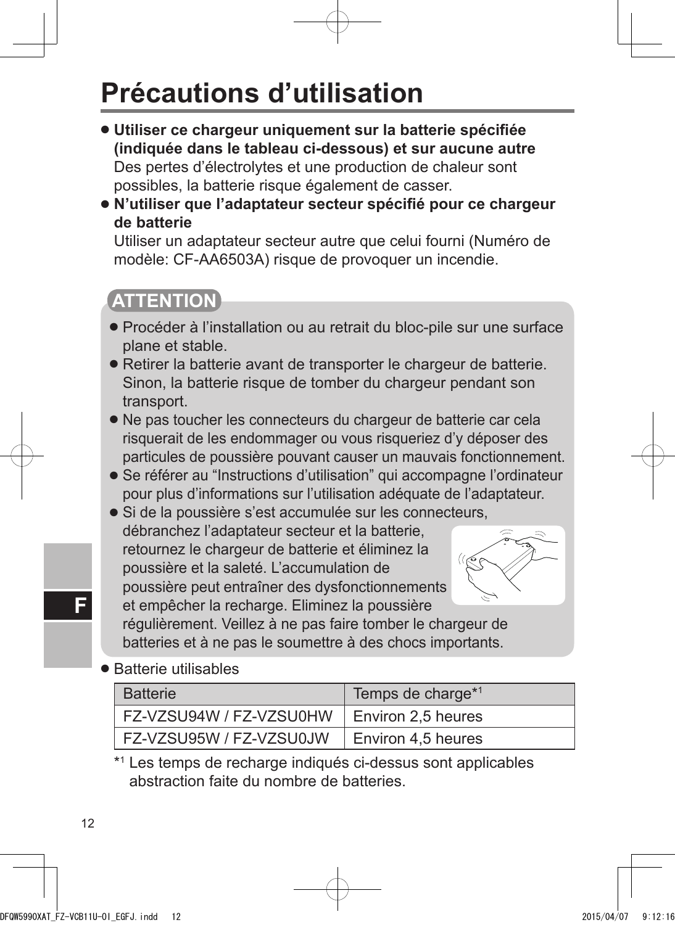## **Précautions d'utilisation**

- **Utiliser ce chargeur uniquement sur la batterie spécifiée (indiquée dans le tableau ci-dessous) et sur aucune autre** Des pertes d'électrolytes et une production de chaleur sont possibles, la batterie risque également de casser.
- **N'utiliser que l'adaptateur secteur spécifié pour ce chargeur de batterie**

Utiliser un adaptateur secteur autre que celui fourni (Numéro de modèle: CF-AA6503A) risque de provoquer un incendie.

### **ATTENTION**

- Procéder à l'installation ou au retrait du bloc-pile sur une surface plane et stable.
- Retirer la batterie avant de transporter le chargeur de batterie. Sinon, la batterie risque de tomber du chargeur pendant son transport.
- Ne pas toucher les connecteurs du chargeur de batterie car cela risquerait de les endommager ou vous risqueriez d'y déposer des particules de poussière pouvant causer un mauvais fonctionnement.
- Se référer au "Instructions d'utilisation" qui accompagne l'ordinateur pour plus d'informations sur l'utilisation adéquate de l'adaptateur.
- Si de la poussière s'est accumulée sur les connecteurs, débranchez l'adaptateur secteur et la batterie, retournez le chargeur de batterie et éliminez la poussière et la saleté. L'accumulation de poussière peut entraîner des dysfonctionnements et empêcher la recharge. Eliminez la poussière



régulièrement. Veillez à ne pas faire tomber le chargeur de batteries et à ne pas le soumettre à des chocs importants.

● Batterie utilisables

| <b>Batterie</b>         | Temps de charge*1  |
|-------------------------|--------------------|
| FZ-VZSU94W / FZ-VZSU0HW | Environ 2,5 heures |
| FZ-VZSU95W / FZ-VZSU0JW | Environ 4,5 heures |

\*1 Les temps de recharge indiqués ci-dessus sont applicables abstraction faite du nombre de batteries.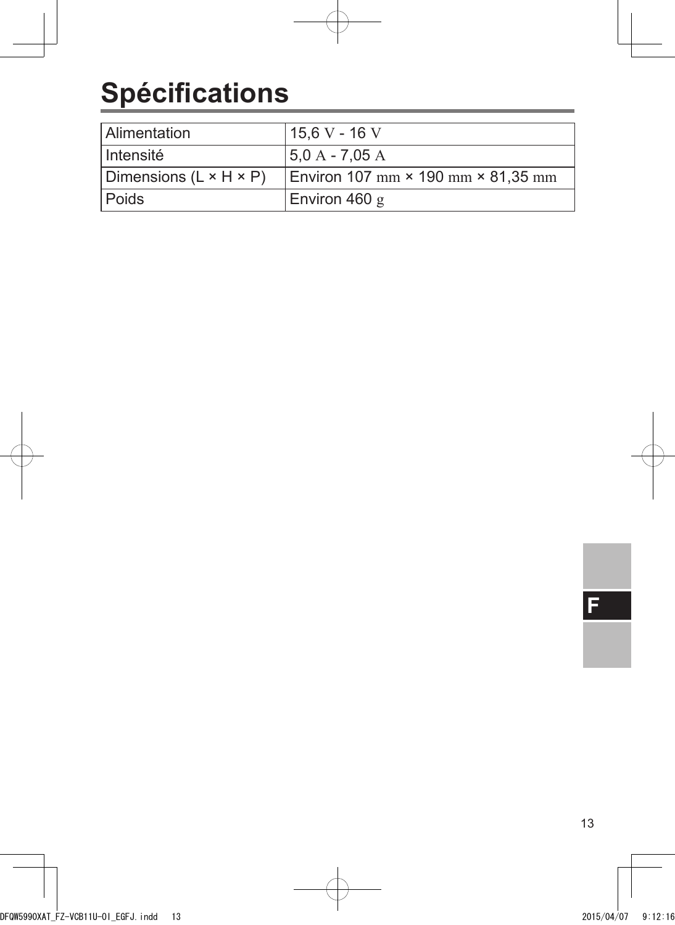## **Spécifications**

| Alimentation                       | 15.6 V - 16 V                      |
|------------------------------------|------------------------------------|
| ∣ Intensité                        | $5.0 A - 7.05 A$                   |
| Dimensions $(L \times H \times P)$ | Environ 107 mm × 190 mm × 81,35 mm |
| l Poids                            | Environ 460 $g$                    |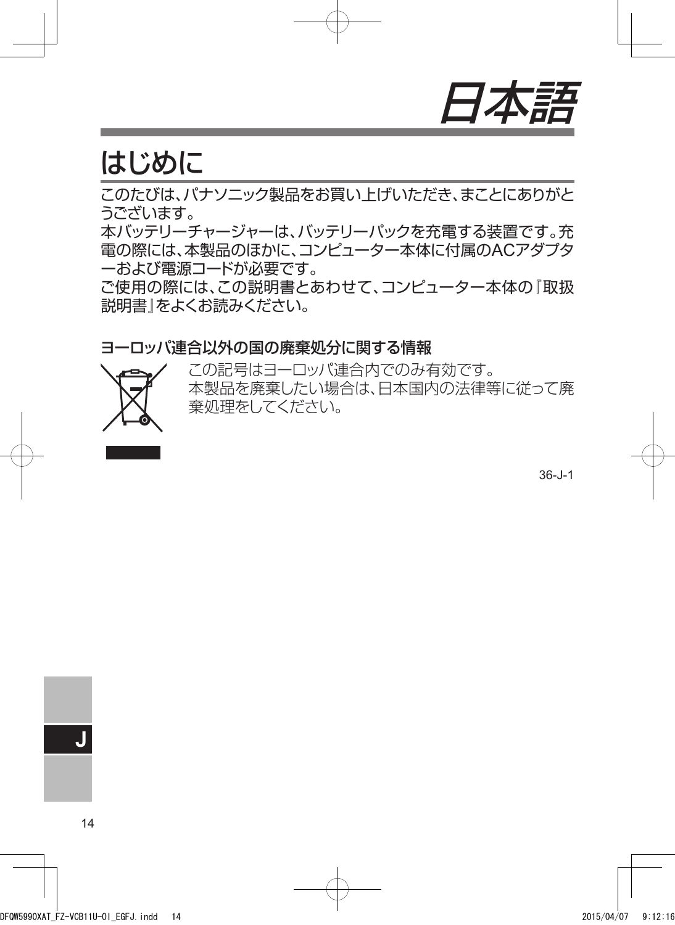

### はじめに

このたびは、パナソニック製品をお買い上げいただき、まことにありがと うございます。

本バッテリーチャージャーは、バッテリーパックを充電する装置です。充 電の際には、本製品のほかに、コンピューター本体に付属のACアダプタ ーおよび電源コードが必要です。

ご使用の際には、この説明書とあわせて、コンピューター本体の『取扱 説明書』をよくお読みください。

#### ヨーロッパ連合以外の国の廃棄処分に関する情報



この記号はヨーロッパ連合内でのみ有効です。 本製品を廃棄したい場合は、日本国内の法律等に従って廃 棄処理をしてください。

36-J-1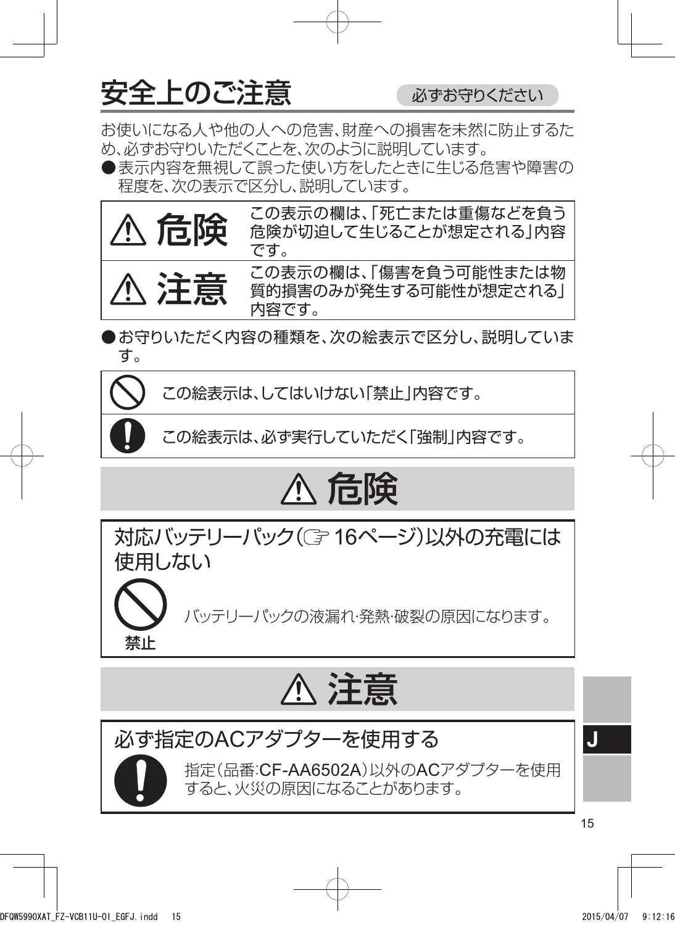$\bigoplus$ 全上のご注意 めきょうちょうりください

禁止

お使いになる人や他の人への危害、財産への損害を未然に防止するた め、必ずお守りいただくことを、次のように説明しています。

●表示内容を無視して誤った使い方をしたときに生じる危害や障害の 程度を、次の表示で区分し、説明しています。



●お守りいただく内容の種類を、次の絵表示で区分し、説明していま す。

この絵表示は、してはいけない「禁止」内容です。

この絵表示は、必ず実行していただく「強制」内容です。

## 危険

対応バッテリーパック((了16ページ)以外の充電には 使用しない

バッテリーパックの液漏れ・発熱・破裂の原因になります。

## 注意

必ず指定のACアダプターを使用する 指定(品番:CF-AA6502A)以外のACアダプターを使用

すると、火災の原因になることがあります。

**J**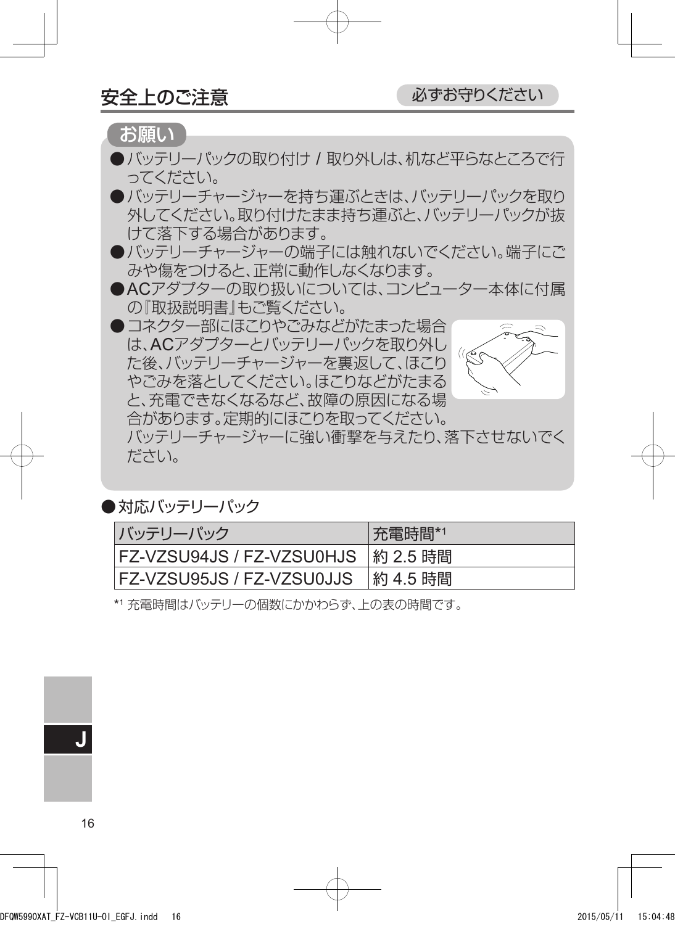お願い

- ●バッテリーパックの取り付け / 取り外しは、机など平らなところで行 ってください。
- ●バッテリーチャージャーを持ち運ぶときは、バッテリーパックを取り 外してください。取り付けたまま持ち運ぶと、バッテリーパックが抜 けて落下する場合があります。
- ●バッテリーチャージャーの端子には触れないでください。端子にご みや傷をつけると、正常に動作しなくなります。
- ACアダプターの取り扱いについては、コンピューター本体に付属 の『取扱説明書』もご覧ください。
- ●コネクター部にほこりやごみなどがたまった場合 は、ACアダプターとバッテリーパックを取り外し  $\mathcal{C}(\mathbb{R})$ た後、バッテリーチャージャーを裏返して、ほこり やごみを落としてください。ほこりなどがたまる と、充電できなくなるなど、故障の原因になる場 合があります。定期的にほこりを取ってください。 バッテリーチャージャーに強い衝撃を与えたり、落下させないでく ださい。

●対応バッテリーパック

| バッテリーパック                         | 充電時間*1   |
|----------------------------------|----------|
| <b>FZ-VZSU94JS / FZ-VZSU0HJS</b> | 約 2.5 時間 |
| <b>FZ-VZSU95JS / FZ-VZSU0JJS</b> | 約 4.5 時間 |

\*1 充電時間はバッテリーの個数にかかわらず、上の表の時間です。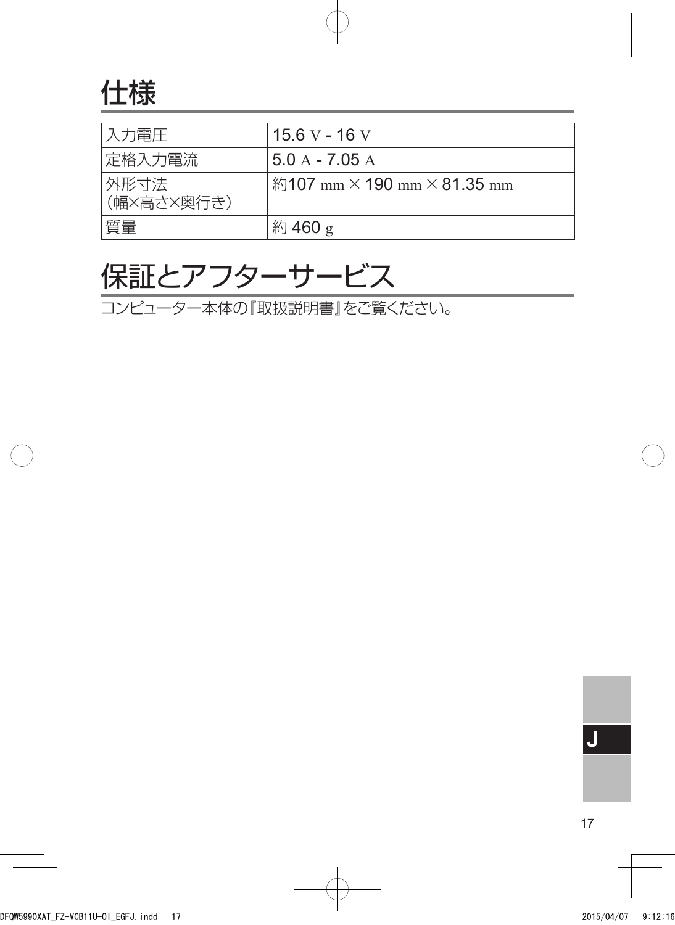## 仕様

| 入力電圧               | 15.6 V - 16 V                             |
|--------------------|-------------------------------------------|
| 定格入力電流             | $5.0 A - 7.05 A$                          |
| 外形寸法<br>(幅×高さ×奥行き) | 約107 mm $\times$ 190 mm $\times$ 81.35 mm |
| 質量                 | 約 460 g                                   |

### 保証とアフターサービス

コンピューター本体の『取扱説明書』をご覧ください。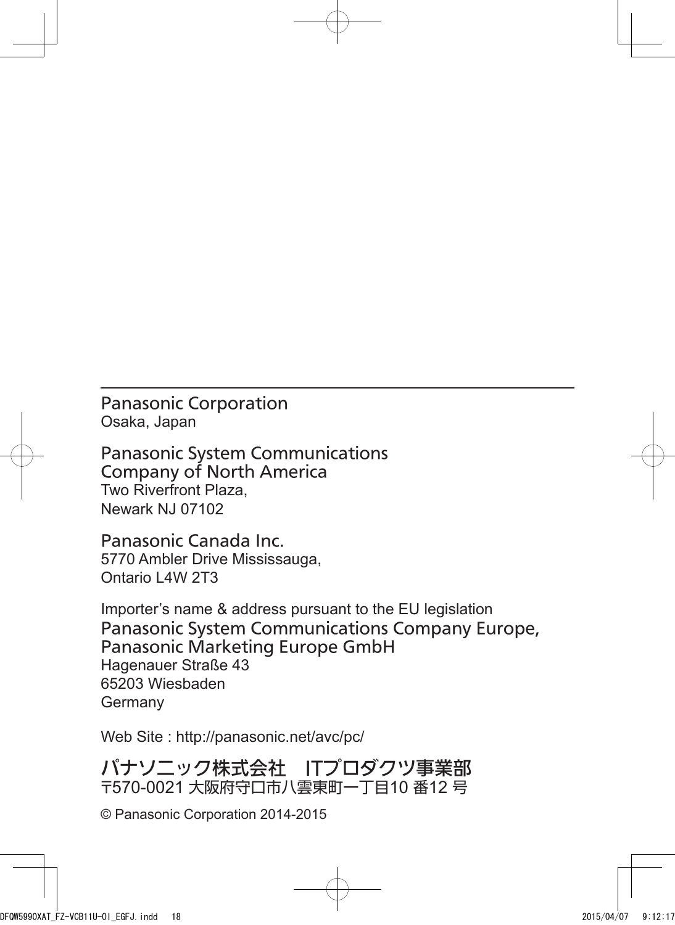Panasonic Corporation Osaka, Japan

Panasonic System Communications Company of North America Two Riverfront Plaza, Newark NJ 07102

Panasonic Canada Inc. 5770 Ambler Drive Mississauga, Ontario L4W 2T3

Importer's name & address pursuant to the EU legislation Panasonic System Communications Company Europe, Panasonic Marketing Europe GmbH Hagenauer Straße 43 65203 Wiesbaden Germany

Web Site : http://panasonic.net/avc/pc/

パナソニック株式会社 ITプロダクツ事業部 〒570-0021 大阪府守口市八雲東町一丁目10 番12 号

© Panasonic Corporation 2014-2015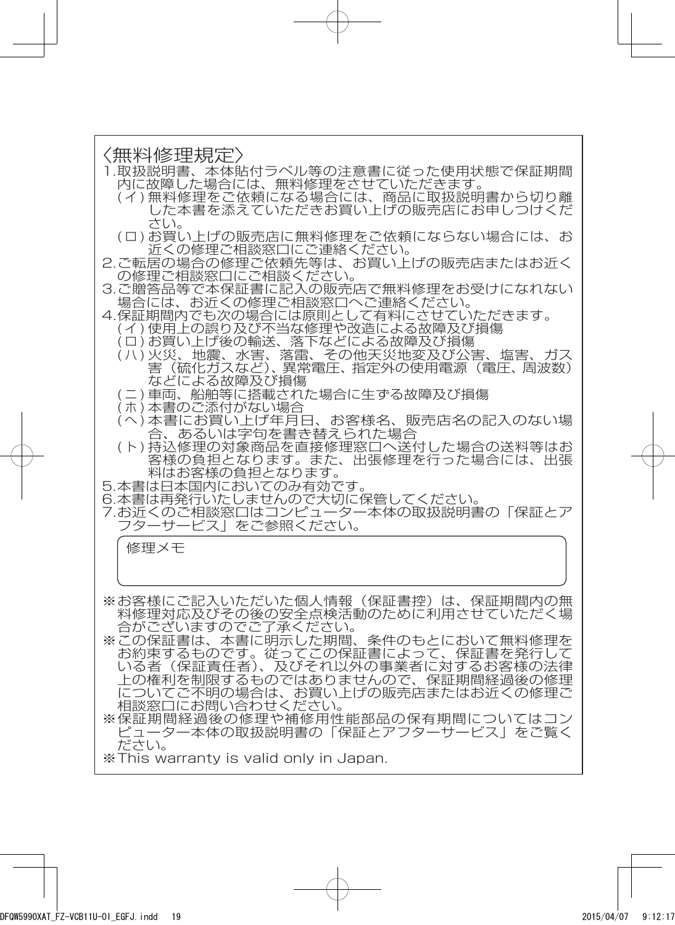#### 〈無料修理規定〉

- 1.取扱説明書、本体貼付ラベル等の注意書に従った使用状態で保証期間 内に故障した場合には、無料修理をさせていただきます。
	- ( イ ) 無料修理をご依頼になる場合には、商品に取扱説明書から切り離 した本書を添えていただきお買い上げの販売店にお申しつけくだ さい。
	- ( ロ ) お買い上げの販売店に無料修理をご依頼にならない場合には、お 近くの修理ご相談窓口にご連絡ください。
- 2. ご転居の場合の修理ご依頼先等は、お買い上げの販売店またはお近く の修理ご相談窓口にご相談ください。
- 3. ご贈答品等で本保証書に記入の販売店で無料修理をお受けになれない 場合には、お近くの修理ご相談窓口へご連絡ください。
- 4. 保証期間内でも次の場合には原則として有料にさせていただきます。
	- (イ) 使用上の誤り及び不当な修理や改造による故障及び損傷
	- (ロ)お買い上げ後の輸送、落下などによる故障及び損傷
	- (ハ) 火災、地震、水害、落雷、その他天災地変及び公害、塩害、ガス 害(硫化ガスなど)、異常電圧、指定外の使用電源(電圧、周波数) などによる故障及び損傷
	- (ニ)車両、船舶等に搭載された場合に生ずる故障及び損傷
	- (ホ)本書のご添付がない場合
	- (へ) 本書にお買い上げ年月日、お客様名、販売店名の記入のない場 合、あるいは字句を書き替えられた場合
	- (ト)持込修理の対象商品を直接修理窓口へ送付した場合の送料等はお 客様の負担となります。また、出張修理を行った場合には、出張 料はお客様の負担となります。
- 5.本書は日本国内においてのみ有効です。
- 6. 本書は再発行いたしませんので大切に保管してください。
- 7. お近くのご相談窓口はコンピューター本体の取扱説明書の「保証とア フターサービス」をご参照ください。

修理メモ

- ※お客様にご記入いただいた個人情報(保証書控)は、保証期間内の無 料修理対応及びその後の安全点検活動のために利用させていただく場 合がございますのでご了承ください。
- ※ この保証書は、本書に明示した期間、条件のもとにおいて無料修理を お約束するものです。従ってこの保証書によって、保証書を発行して いる者(保証責任者)、及びそれ以外の事業者に対するお客様の法律 上の権利を制限するものではありませんので、保証期間経過後の修理 についてご不明の場合は、お買い上げの販売店またはお近くの修理ご 相談窓口にお問い合わせください。
- ※保証期間経過後の修理や補修用性能部品の保有期間についてはコン ピューター本体の取扱説明書の「保証とアフターサービス」をご覧く ださい。

※ This warranty is valid only in Japan.